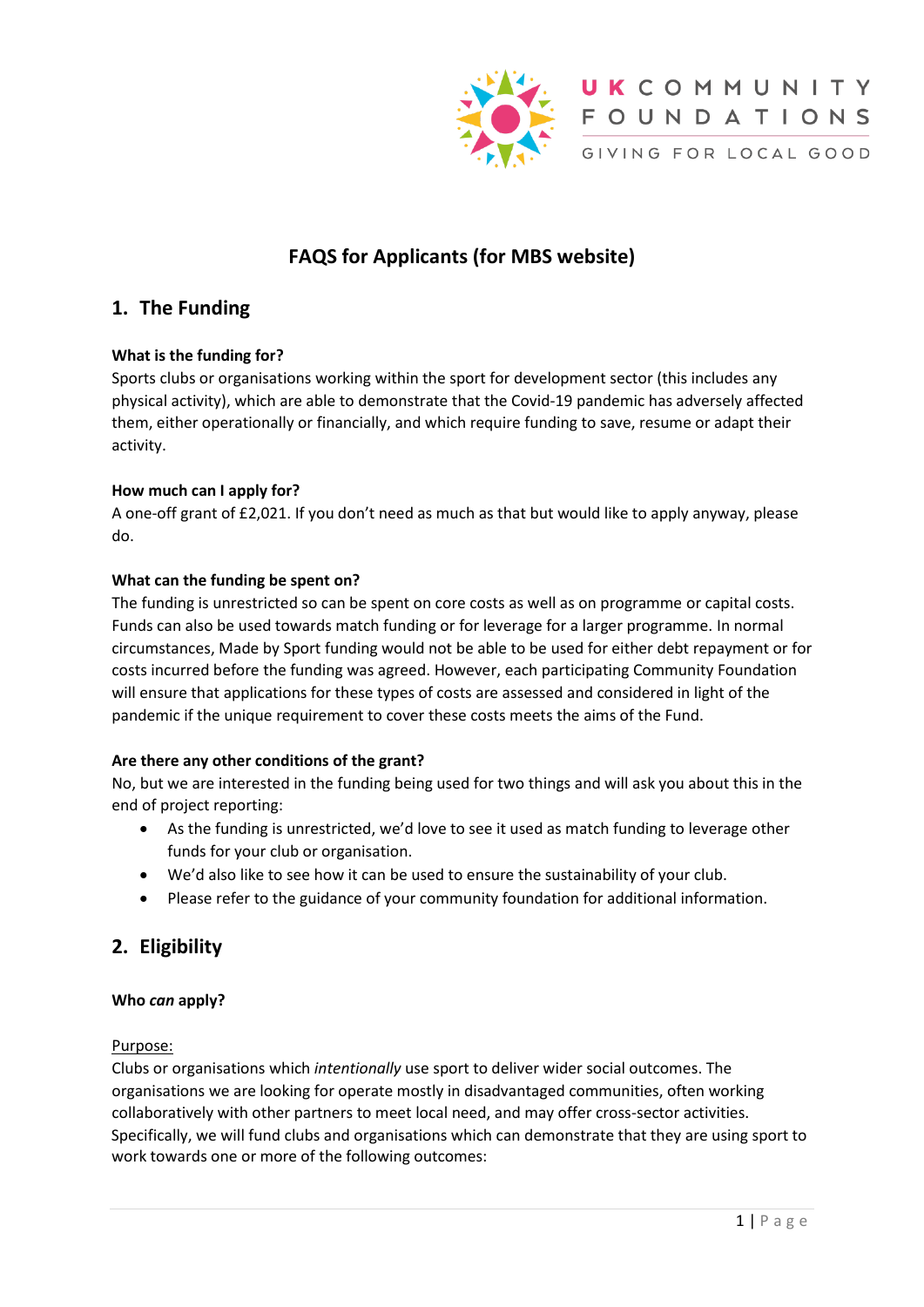



UKCOMMUNITY FOUNDATIONS

GIVING FOR LOCAL GOOD

# **FAQS for Applicants (for MBS website)**

## **1. The Funding**

## **What is the funding for?**

Sports clubs or organisations working within the sport for development sector (this includes any physical activity), which are able to demonstrate that the Covid-19 pandemic has adversely affected them, either operationally or financially, and which require funding to save, resume or adapt their activity.

## **How much can I apply for?**

A one-off grant of £2,021. If you don't need as much as that but would like to apply anyway, please do.

## **What can the funding be spent on?**

The funding is unrestricted so can be spent on core costs as well as on programme or capital costs. Funds can also be used towards match funding or for leverage for a larger programme. In normal circumstances, Made by Sport funding would not be able to be used for either debt repayment or for costs incurred before the funding was agreed. However, each participating Community Foundation will ensure that applications for these types of costs are assessed and considered in light of the pandemic if the unique requirement to cover these costs meets the aims of the Fund.

## **Are there any other conditions of the grant?**

No, but we are interested in the funding being used for two things and will ask you about this in the end of project reporting:

- As the funding is unrestricted, we'd love to see it used as match funding to leverage other funds for your club or organisation.
- We'd also like to see how it can be used to ensure the sustainability of your club.
- Please refer to the guidance of your community foundation for additional information.

## **2. Eligibility**

#### **Who** *can* **apply?**

#### Purpose:

Clubs or organisations which *intentionally* use sport to deliver wider social outcomes. The organisations we are looking for operate mostly in disadvantaged communities, often working collaboratively with other partners to meet local need, and may offer cross-sector activities. Specifically, we will fund clubs and organisations which can demonstrate that they are using sport to work towards one or more of the following outcomes: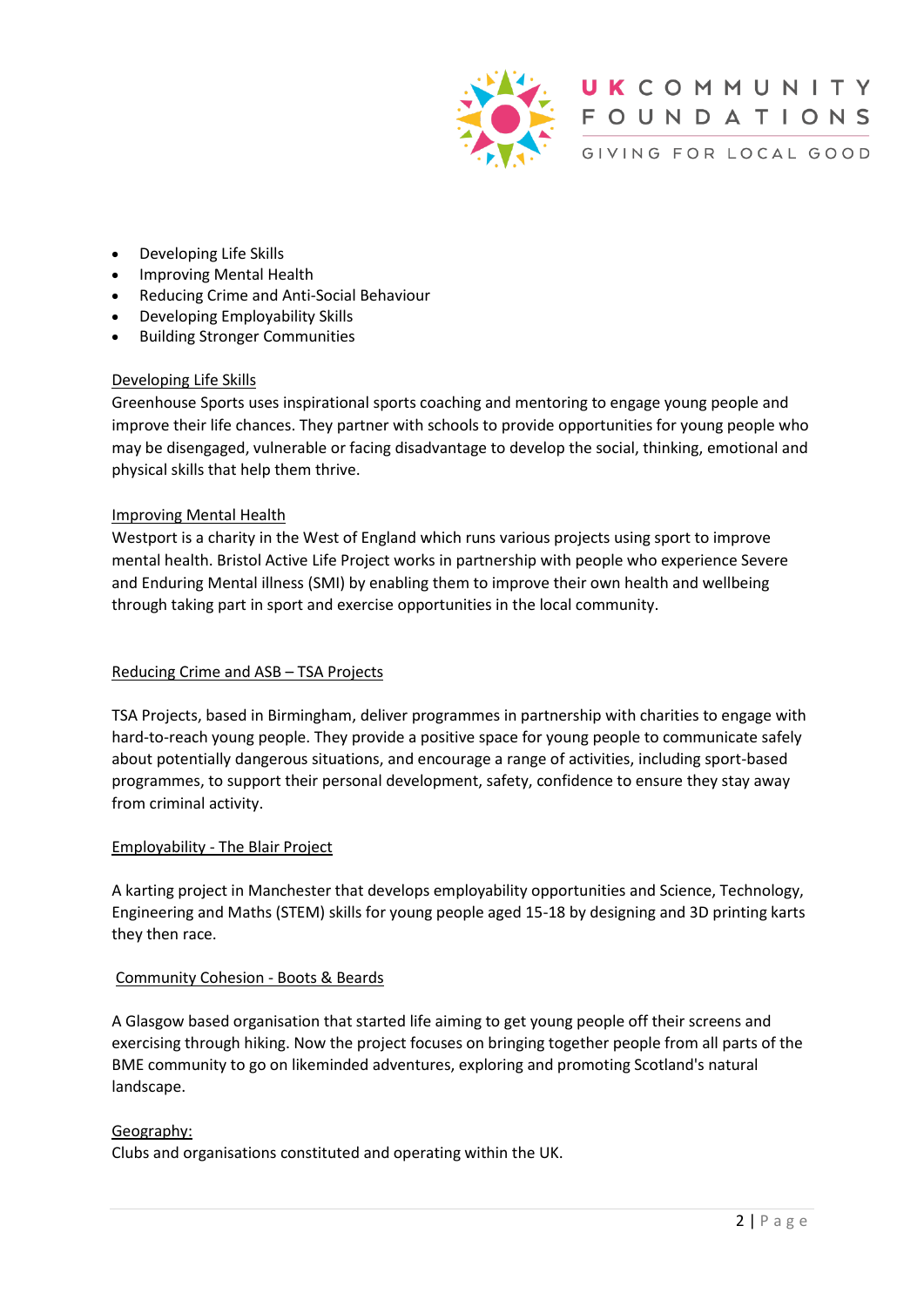

UKCOMMUNITY FOUNDATIONS GIVING FOR LOCAL GOOD

- Developing Life Skills
- Improving Mental Health
- Reducing Crime and Anti-Social Behaviour
- Developing Employability Skills
- Building Stronger Communities

## Developing Life Skills

Greenhouse Sports uses inspirational sports coaching and mentoring to engage young people and improve their life chances. They partner with schools to provide opportunities for young people who may be disengaged, vulnerable or facing disadvantage to develop the social, thinking, emotional and physical skills that help them thrive.

## Improving Mental Health

Westport is a charity in the West of England which runs various projects using sport to improve mental health. Bristol Active Life Project works in partnership with people who experience Severe and Enduring Mental illness (SMI) by enabling them to improve their own health and wellbeing through taking part in sport and exercise opportunities in the local community.

## Reducing Crime and ASB – TSA Projects

TSA Projects, based in Birmingham, deliver programmes in partnership with charities to engage with hard-to-reach young people. They provide a positive space for young people to communicate safely about potentially dangerous situations, and encourage a range of activities, including sport-based programmes, to support their personal development, safety, confidence to ensure they stay away from criminal activity.

#### Employability - The Blair Project

A karting project in Manchester that develops employability opportunities and Science, Technology, Engineering and Maths (STEM) skills for young people aged 15-18 by designing and 3D printing karts they then race.

#### Community Cohesion - Boots & Beards

A Glasgow based organisation that started life aiming to get young people off their screens and exercising through hiking. Now the project focuses on bringing together people from all parts of the BME community to go on likeminded adventures, exploring and promoting Scotland's natural landscape.

#### Geography:

Clubs and organisations constituted and operating within the UK.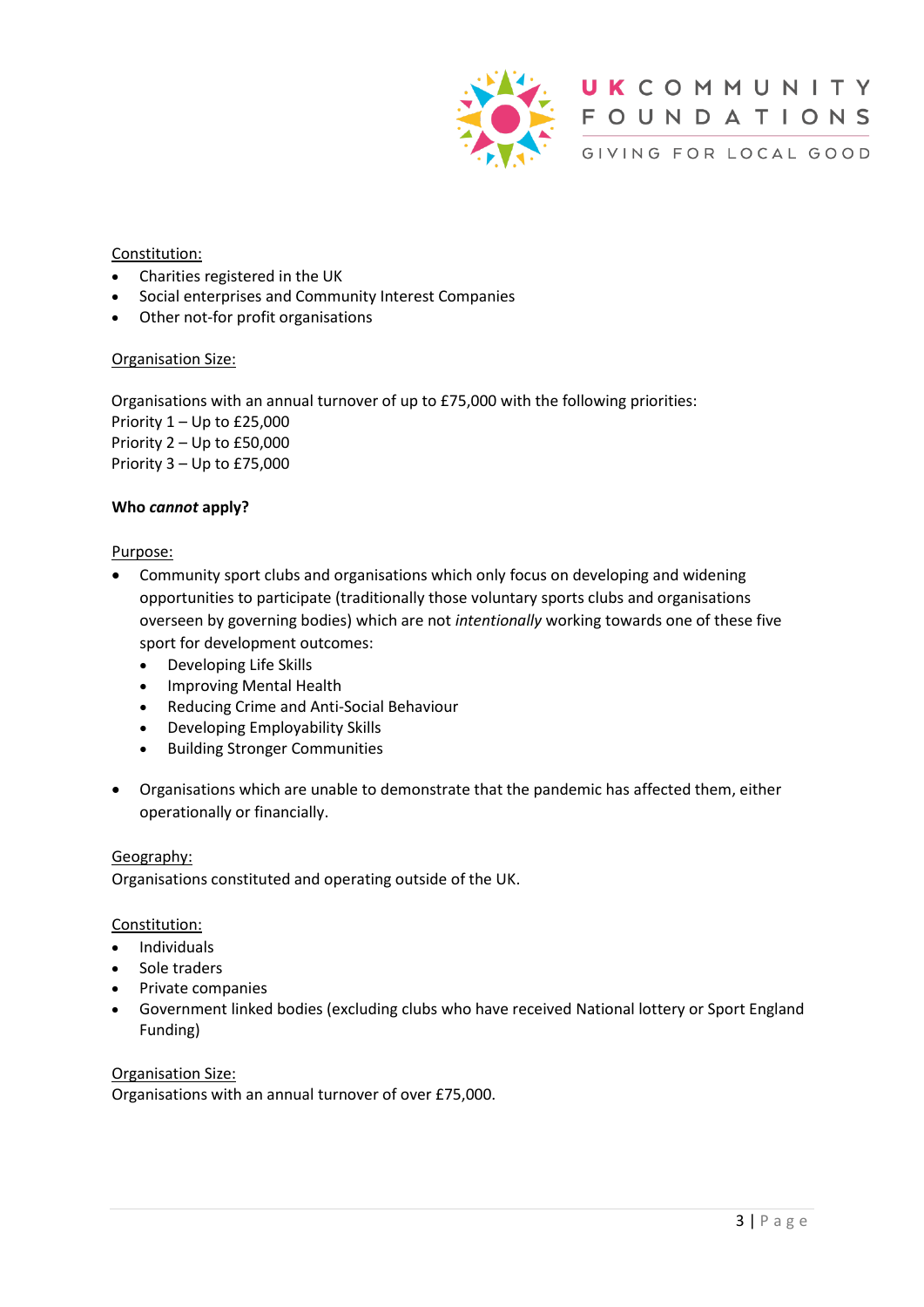

UKCOMMUNITY **FOUNDATIONS** GIVING FOR LOCAL GOOD

## Constitution:

- Charities registered in the UK
- Social enterprises and Community Interest Companies
- Other not-for profit organisations

#### Organisation Size:

Organisations with an annual turnover of up to £75,000 with the following priorities: Priority 1 – Up to £25,000 Priority 2 – Up to £50,000 Priority 3 – Up to £75,000

#### **Who** *cannot* **apply?**

#### Purpose:

- Community sport clubs and organisations which only focus on developing and widening opportunities to participate (traditionally those voluntary sports clubs and organisations overseen by governing bodies) which are not *intentionally* working towards one of these five sport for development outcomes:
	- Developing Life Skills
	- Improving Mental Health
	- Reducing Crime and Anti-Social Behaviour
	- Developing Employability Skills
	- Building Stronger Communities
- Organisations which are unable to demonstrate that the pandemic has affected them, either operationally or financially.

#### Geography:

Organisations constituted and operating outside of the UK.

#### Constitution:

- Individuals
- Sole traders
- Private companies
- Government linked bodies (excluding clubs who have received National lottery or Sport England Funding)

#### Organisation Size:

Organisations with an annual turnover of over £75,000.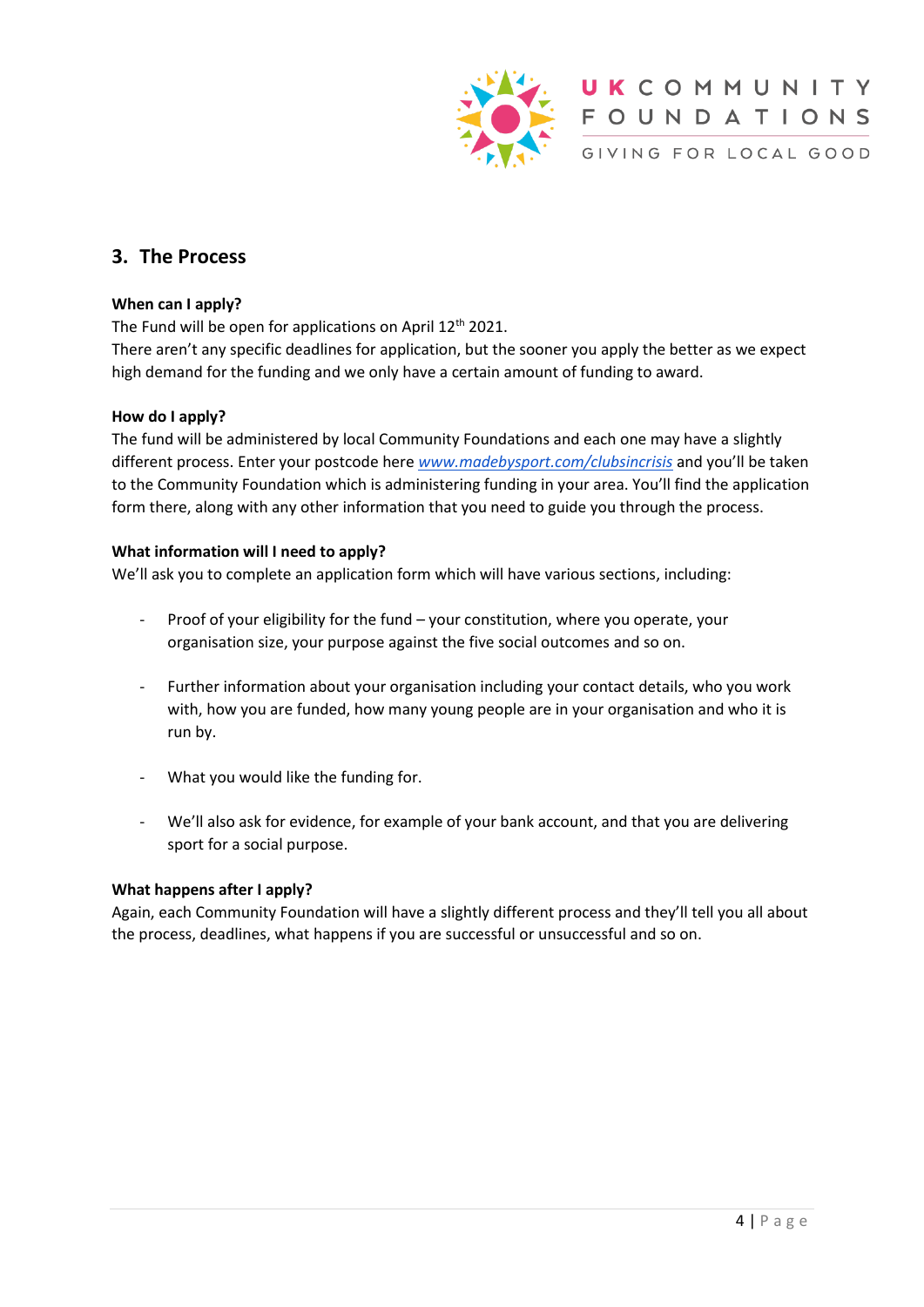

## **3. The Process**

## **When can I apply?**

The Fund will be open for applications on April 12<sup>th</sup> 2021.

There aren't any specific deadlines for application, but the sooner you apply the better as we expect high demand for the funding and we only have a certain amount of funding to award.

## **How do I apply?**

The fund will be administered by local Community Foundations and each one may have a slightly different process. Enter your postcode here *[www.madebysport.com/clubsincrisis](http://www.madebysport.com/clubsincrisis)* and you'll be taken to the Community Foundation which is administering funding in your area. You'll find the application form there, along with any other information that you need to guide you through the process.

#### **What information will I need to apply?**

We'll ask you to complete an application form which will have various sections, including:

- Proof of your eligibility for the fund your constitution, where you operate, your organisation size, your purpose against the five social outcomes and so on.
- Further information about your organisation including your contact details, who you work with, how you are funded, how many young people are in your organisation and who it is run by.
- What you would like the funding for.
- We'll also ask for evidence, for example of your bank account, and that you are delivering sport for a social purpose.

#### **What happens after I apply?**

Again, each Community Foundation will have a slightly different process and they'll tell you all about the process, deadlines, what happens if you are successful or unsuccessful and so on.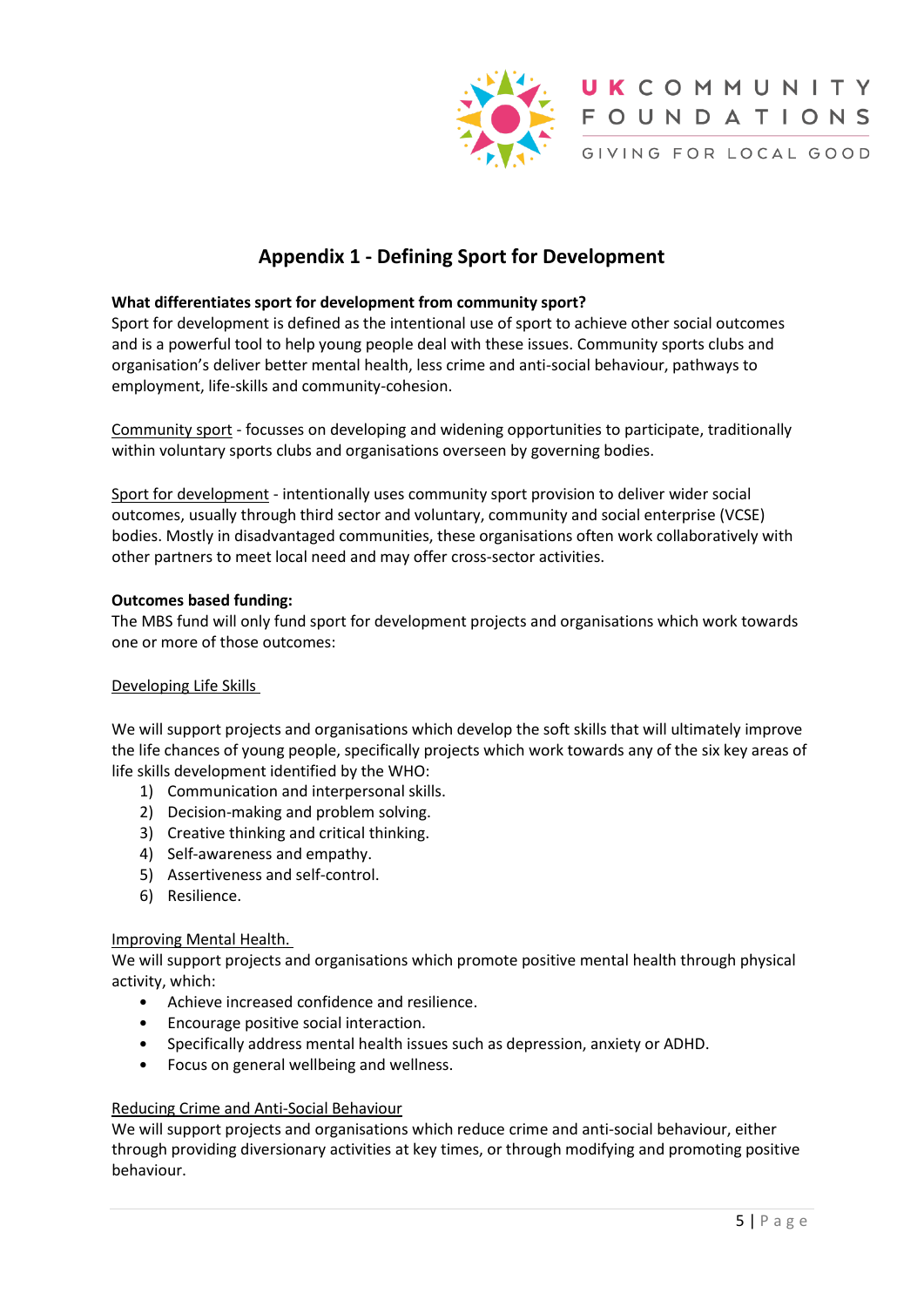

# **Appendix 1 - Defining Sport for Development**

#### **What differentiates sport for development from community sport?**

Sport for development is defined as the intentional use of sport to achieve other social outcomes and is a powerful tool to help young people deal with these issues. Community sports clubs and organisation's deliver better mental health, less crime and anti-social behaviour, pathways to employment, life-skills and community-cohesion.

Community sport - focusses on developing and widening opportunities to participate, traditionally within voluntary sports clubs and organisations overseen by governing bodies.

Sport for development - intentionally uses community sport provision to deliver wider social outcomes, usually through third sector and voluntary, community and social enterprise (VCSE) bodies. Mostly in disadvantaged communities, these organisations often work collaboratively with other partners to meet local need and may offer cross-sector activities.

#### **Outcomes based funding:**

The MBS fund will only fund sport for development projects and organisations which work towards one or more of those outcomes:

#### Developing Life Skills

We will support projects and organisations which develop the soft skills that will ultimately improve the life chances of young people, specifically projects which work towards any of the six key areas of life skills development identified by the WHO:

- 1) Communication and interpersonal skills.
- 2) Decision-making and problem solving.
- 3) Creative thinking and critical thinking.
- 4) Self-awareness and empathy.
- 5) Assertiveness and self-control.
- 6) Resilience.

#### Improving Mental Health.

We will support projects and organisations which promote positive mental health through physical activity, which:

- Achieve increased confidence and resilience.
- Encourage positive social interaction.
- Specifically address mental health issues such as depression, anxiety or ADHD.
- Focus on general wellbeing and wellness.

#### Reducing Crime and Anti-Social Behaviour

We will support projects and organisations which reduce crime and anti-social behaviour, either through providing diversionary activities at key times, or through modifying and promoting positive behaviour.